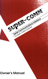**Owner's Manual** 

Serial Communications Interface

For Apple II series computers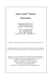## **Super-Comm™ Manual**

## **Third Edition**

Sequential Systems, Inc. 1200 Diamond Circle Lafayette, Colorado 80026

Office: (303) 666-4549 Fax: (303) 665-0933 Sales: 1-800-759-4549 Customer Service: 1-800-999-1717

Copyright © 1989, 1991 by Sequential Systems. Inc. All rights reserved.

Sequential Systems reserves the right to make changes and to issue updates to the product described in this manual at any time without previous notice.

Apple II, II+, IIe, IIGS, Super Serial Card, ImageWriter, Personal Modem, Apple Plotter and Apple Scribe are trademarks of Apple Computer, Inc. Grappler is a trademark of Orange Micro, Inc. Franklin is a trademark of Franklin Computer. Inc. Hayes Smartmodem is a registered trademark of Hayes Microcomputer Products, Inc. Magic Slate is a trademark of Sunburst Communications, Inc.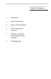## Table of Contents

- 1. [Introduction](#page-3-0)
- 2. [Super-Comm Setup](#page-5-0)
- 3. [Super-Comm Installation](#page-9-0)
- 4. [Switch Settings and](#page-12-0)  Functions
- 5. Firmware Commands [\(Overriding the Switch](#page-19-0)  Settings)
- 6. [Troubleshooting](#page-24-0)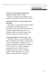## **Introduction 1.**

#### <span id="page-3-0"></span>Thank you for purchasing Sequential Systems' Super-Comm™ card.

We are so confident of the quality of our products, we provide a full two year warranty.

### Sequential Systems' prompt replacement guarantee.

This product is guaranteed free from defects in materials and workmanship and is warranted for two full years from the date of purchase. Sequential Systems, Inc. will promptly replace any product shown to be defective during this warranty period.

#### Sequential Systems' Super-Comm card**.**

The Super-Comm is a serial interface card, fully compatible with Apple®'s Super Serial, Card™ and capable of Grappler text and graphic commands. It enables any Apple II™, II+, IIe, IIGS™ or Franklin computer to communicate with a variety of serial peripherals: printers, plotters, modems, graphic tablets and other devices which require a serial (RS-232-C) interface.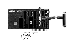

#### **SuperComm™ Components**

- **A**. Switch Bank 1
- **B**. Switch Bank 2
- **C**. Jumper Block
- **D**. Cable Stub
- **E**. Firmware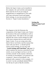<span id="page-5-0"></span>Before the Super-Comm can be installed in the computer, the card switches and jumper block must be set If you are using an ImageWriter® or ImageWriter II, the cards will come with preset switch and jumper block settings, so you may proceed to the Section 3, "Super-Comm Installation."

> **Setting the Super-Comm Card Switches**

The diagram to the left illustrates the components of the Super-Comm card. Notice the location of the each switchbank as well as the jumper block. The table on the next page indicates the correct switch settings for some of the most common devices used with the Super-Comm. If you are using some other kind of device not listed, read the manual that came with your device — it should specify correct switch settings. Or you may read " **Switch Settings and Functions" on** page 4.1, which explains the function controlled by each switch, so you can figure out how to set the switches yourself. In this manual, references to switches on Switchbank 1 are prefaced with a numeral 1, those on Switchbank 2 are prefaced with a numeral 2. (For example, 2-3 is switch 3 on the switchbank labeled SW2.) Use the tip of a pen to flip the switches.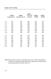### Super-Comm Setup

|         | Apple<br>ImageWriter | Apple<br>ImageWriter II | Apple<br>Personal<br>Modem | Apple<br>Plotter | Apple<br>Scribe |
|---------|----------------------|-------------------------|----------------------------|------------------|-----------------|
|         |                      |                         |                            |                  |                 |
| $1 - 1$ | off                  | off                     | off                        | off              | off             |
| $1 - 2$ | off                  | off                     | ON                         | ON               | off             |
| $1 - 3$ | off                  | off                     | <b>ON</b>                  | <b>ON</b>        | off             |
| $1 - 4$ | <b>ON</b>            | ON                      | <b>ON</b>                  | ON               | ON              |
| $1 - 5$ | off                  | off                     | <b>ON</b>                  | off              | off             |
| $1-6$   | ON                   | ON                      | ON                         | <b>ON</b>        | ON              |
| $1 - 7$ | <b>ON</b>            | ON                      | <b>ON</b>                  | ON               | ON              |
| $1 - 8$ | off                  | off                     | off                        | off              | off             |
|         |                      |                         |                            |                  |                 |
| $2 - 1$ | <b>ON</b>            | ON                      | ON                         | ON               | ON              |
| $2 - 2$ | off                  | off                     | off                        | off              | off             |
| $2 - 3$ | off                  | off                     | <b>ON</b>                  | off              | off             |
| $2 - 4$ | <b>ON</b>            | ON                      | <b>ON</b>                  | <b>ON</b>        | ON              |
| $2 - 5$ | ON                   | ON                      | off                        | off              | ON              |
| $2 - 6$ | off                  | off                     | ON                         | off              | off             |
| $2 - 7$ | off                  | off                     | off                        | off              | off             |
| $2 - 8$ | off                  | off                     | off                        | off              | off             |

NOTE: Most modems are Hayes compatible, so if you have another type of modem not listed, try using the setting for the Hayes modem that corresponds with your particular baud rate (300, 1200, etc.).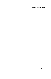Super-Comm Setup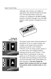Although some switches vary slightly in appearance, they should still operate the same way. The illustration below shows how switches are configured to the **ON** and **OFF**  positions. Switches I through 4 are in the **ON** position, while switches 5 through 8 are set to **OFF.**



**Setting the Jumper Block**





The Super-Comm works with an assortment of peripherals. If you are using a modem, the triangle on the jumper block should be pointing toward the word "Modem." Likewise, if you are using a printer, plotter or any other device, the triangle should be pointing toward the word "Printer." If the jumper block is poinling the wrong way, gently pry it off. Reinstall so it is pointing in the proper direction, making sure the pins line up exactly with holes in the sockels before you press into place. **You must change the jumper block setting each time you change from printer mode to modem mode, or vice versa.**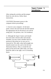## **Super-Comm 3. Installation**

<span id="page-9-0"></span>After setting the switches and the jumper block for your device, follow these instructions.

CAUTION! Disconnect power to the computer before proceeding!

1. Uncover your computer. At the back panel, remove the tab from the tab hole behind the appropriate slot for the device you will be using (slot 1 for printers, slot 2 for modems).

2. Although the Super-Comm card should have the multi-colored cable stub already installed, you may wish to double-check its position at this point (or in case you've removed it). The cable, when laid straight out, should extend over the card to the left (see illustration below). Then, to install the nut plate (at the end of the cable stub), you must bend the cable to the right, over its mounting block.

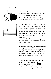

3. Loosen the bottom screw on the nut plate (but do not remove it). Remove the top screw, tilt the nut plate and slide it into the tab hole. Tilt the nut plate back to the vertical position, replace the top screw, and retighten the bottom screw.

4. Although the Super-Comm card will work in any slot, slot 1 is recommended if a printer is being used, and slot 2 if a modem is being used. (For other devices, use the slot recommended in the manual that came with that device.) Install by firmly seating the card in its slot, being careful not to rock it from side to side.

5. Connect the cable from your peripheral to the previously installed nut plate in the back panel of the computer.

6. The Super-Comm is now installed. Replace the computer cover and finish setting up your printer, plotter or modem according to the instructions that came with it. Don't forget to set any switches that need to be set on your printer or modem so that the connected devices may interact.

7. For a printer, test the Super-Comm by typing **PR#n** (n=slot #) **Return** for a modem, type **IN#n** (n=slot #), **Return** Or use your favorite printing or communication program to verify correct operation.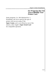## **For Programs that Ask You to Identify Your Printer Card**

Some programs, (i.e. BrCiderbund Inc.'s PrintShop), ask you to specify the type of printer card you are using. If the **Super-Comm** card is not offered as one of the choices, select Apple's **Super Serial Card** for compatible operation.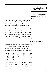## **Switch Settings 4. and Functions**

 **Switch Settings for Printer, Plotter, etc. Mode**

<span id="page-12-0"></span>If you are connecting a modem, skip to the subsection entitled **"Switch Settings for Modem Mode**" on page 4.4. If you are connecting anything else, continue reading.

In order to correctly set the switches, you will need to know certain characteristics about your device, all of which should be in the manual which came with that device. As you read the following instructions, refer to your device's manual for its necessary baud rate, mode, stop bits, etc.

#### **Switches 1-1 through 1-4: Baud Rate**

Baud rate is the speed at which information is exchanged between the computer and the peripheral. The following table shows the correct switch settings for various baud rates:

| <b>Baud</b> | $1 - 1$ | $1 - 2$ | 1-3 | $1 - 4$ |
|-------------|---------|---------|-----|---------|
| 300         | OΝ      | Off     | Off | ON      |
| 1200        | Off     | ΩN      | OΝ  | ON      |
| 2400        | Off     | OΝ      | Off | ON      |
| 9600        | Off     | Off     | Off | ON      |

If you should require switch settings for baud rates not listed above, please call Sequential Systems' customer service at 1-800-999-1717.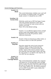| Switch 1-5:<br>Mode                 | This switch determines whether your card will<br>be in printer or modem mode. For printer<br>mode, switch 1-5 should be set to OFF.                                                                                                                                                                                      |
|-------------------------------------|--------------------------------------------------------------------------------------------------------------------------------------------------------------------------------------------------------------------------------------------------------------------------------------------------------------------------|
| Switches 1-6:<br><b>Screen Echo</b> | With this switch set to OFF the Super-Comm<br>will echo printed characters to the video<br>screen. If you do not want screen echo set<br>switch 1-6 to ON.<br>Note: ON is the default setting.                                                                                                                           |
| Switch 1-7:                         | Switch 1-7 is an RS232 signal switch. In both<br>printer mode and modem mode, switch 1-7<br>should be set to the ON position, unless<br>otherwise instructed.                                                                                                                                                            |
| Switch 1-8:                         | Switch 1-8 has no function in either mode, so<br>it is best to leave it in the OFF position.                                                                                                                                                                                                                             |
| Switch 2-1:<br><b>Stop Bits</b>     | Stop bits signal the end of each character<br>(which is itself a string of bits) that the<br>computer sends to, or receives from, the<br>printer. Some of the slower printers expect<br>two stop bits, but most types expect one stop<br>bit. Set switch 2-1 to ON for one stop bit; set<br>it to OFF for two stop bits. |
| Switch 2-2:                         |                                                                                                                                                                                                                                                                                                                          |

#### **Switch 2-2: Delay After Carriage Return**

This switch determines whether the computer will pause for  $1/4$  second after each carriage return to give the print head time to get back to the start of the next line. Set switch 2-2 to ON if you want a delay (e.g., for slower printers); set it to OFF if you don't want a delay (for most other printers).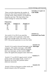|                       | These switches determine the number of<br>characters that will be printed before each<br>carriage return. Most printers can handle 80<br>characters per line. The chart below lists<br>switch settings for various line widths:                             |                   | Switches 2-3 and 2-4:<br><b>Line Width</b> |
|-----------------------|-------------------------------------------------------------------------------------------------------------------------------------------------------------------------------------------------------------------------------------------------------------|-------------------|--------------------------------------------|
| <b>Characters</b>     |                                                                                                                                                                                                                                                             |                   |                                            |
| Per Line              | <b>Switch 2-3</b>                                                                                                                                                                                                                                           | <b>Switch 2-4</b> |                                            |
| 40                    | OΝ                                                                                                                                                                                                                                                          | ON                |                                            |
| 72                    | ON                                                                                                                                                                                                                                                          | Off               |                                            |
| 80                    | Off                                                                                                                                                                                                                                                         | ON                |                                            |
| 132                   | Off                                                                                                                                                                                                                                                         | Off               |                                            |
|                       |                                                                                                                                                                                                                                                             |                   | Switch 2-5:                                |
|                       | Set switch 2-5 to ON if you need the<br>Super-Comm card to generate a line feed<br>after each carriage return. Set switch 2-5 to<br>OFF if the printer generates its own line feeds.                                                                        |                   | <b>Generated Line Feeds</b>                |
|                       | Switch 2-6 is used to forward interrupts to the Interrupts<br>computer. ON enables interrupts, while OFF<br>disables them. Since most software programs<br>don't use interrupts, set this switch to OFF<br>unless the application program states otherwise. |                   | Switch 2-6:                                |
|                       |                                                                                                                                                                                                                                                             |                   | Switch 2-7:                                |
| otherwise instructed. | Switch 2-7 is an R5232 signal switch. In both<br>printer mode and modem mode, switch 2-7<br>should be set to the OFF position unless                                                                                                                        |                   |                                            |
|                       | Switch 2-8 has no function in either mode and<br>should remain in the OFF position.                                                                                                                                                                         |                   | Switch 2-8:                                |
|                       |                                                                                                                                                                                                                                                             |                   | 4.3                                        |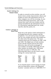Switch Settings for Modem Mode

> In order to correctly set the switches, you will need to know certain characteristics about your modem as well as the information service or other computer you will be accessing. As you read the following instructions, refer to the manual that came with your modem and the manual furnished by the information service for information regarding baud rate, mode, stop bits, data bits, parity, etc.

#### Switches 1-1 through 1-4: Baud Rate

Baud rate is the speed at which information is exchanged between the computer and the peripherals. You will need to know the baud rate for your modem as well as the modem on the other end of the phone line. The most common baud rates for modems are 300, 1200 and 2400. The baud rates of both modems (yours and the remote) must be the same; otherwise, data will not be exchanged. If your modem can handle 2400 baud, but the other modem can handle only 1200 baud, you must set yours to 1200 also. The following table shows you the correct switch settings for various baud rates:

| <b>Baud</b> | $1 - 1$ | 1-2 | 1-3 | $1 - 4$ |
|-------------|---------|-----|-----|---------|
| 300         | OΝ      | Off | Off | OΝ      |
| 1200        | Off     | ON  | ON  | ON      |
| 2400        | Off     | ΩN  | Off | ON      |
| 9600        | Off     | Off | Off | ON      |

If you should require switch settings for baud rates not listed above, please call Sequential Systems' customer service at 1-800-999-1717.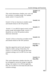| This switch determines whether your card will<br>be in printer or modem mode. For modem<br>mode, switch 1-5 must be ON.                                                                                                  | Switch 1-5:<br><b>Mode</b>      |
|--------------------------------------------------------------------------------------------------------------------------------------------------------------------------------------------------------------------------|---------------------------------|
| Switch 1-6 has no function in modem mode<br>and should remain in the ON position.                                                                                                                                        | Switch 1-6:                     |
| Switch 1-7 is an RS232 signal switch, In both<br>printer mode and modem mode, switch 1-7<br>should be set to the ON position unless<br>otherwise instructed.                                                             | Switch 1.7:                     |
| Switch 1-8 has no function in modem mode<br>and should remain in the OFF position.                                                                                                                                       | Switch 1-8:                     |
| Stop bits signal the end of each character<br>(which is itself a string of data bits). Set<br>switch 2-1 to ON for one stop bit (the most<br>common setting); set it to OFF for two stop<br>bits.                        | Switch 2-1:<br><b>Stop Bits</b> |
| This switch determines whether data bits will<br>be exchanged in seven-bit strings or eight-bit<br>strings. Set switch 2-2 to ON for eight data<br>bits; set it to OFF for seven data bits (the most<br>common setting). | Switch 2-2:<br><b>Data Bits</b> |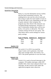#### **Switches 2-3 and 2-4: Parity**

Parity is a way the information service verifies data has been transmitted correctly. The sending device sets one bit at the of end each data string to make the total number of ones in the data bit odd or even, depending on the type of parity selected. After reception, the program may then check if the character was corrupted during transmission. Switches 2-3 and 2-4 determine whether there will be zero parity, even parity or odd parity. The most common setting will be for zero parity. The chart below shows switch settings for various parity settings.

| Type of Parity Switch 2-3 Switch 2-4 |     |     |
|--------------------------------------|-----|-----|
| Zero                                 | ON  | ON  |
| Even                                 | Off | Off |
| <b>Ddd</b>                           | ON  | Off |

#### **Switch** *2-5:* **Generated Line Feeds**

Set switch 2-5 to ON if you need the Super-Comm card to generate a line feed after each carriage return. Set switch *2-5* to OFF if the printer generates its own line feeds.

#### **Switch 2-6: Interrupts**

Switch 2-6 is used to forward interrupts to the computer. ON enables interrupts, while OFF disables them. Since most software doesn't use interrupts, set this switch to OFF unless the application program states otherwise.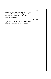#### **Switch 2-7:**

 Switch 2-7 is an RS232 signal switch. In both printer mode and modem mode, switch 2-7 should be set to the OFF position unless otherwise instructed.

#### **Switch 2-8:**

Switch 1-8 has no function in modem mode and should remain in the OFF position.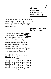**Firmware** 5. **Commands (Overriding the Switch Settings)**

<span id="page-19-0"></span>Special features can be programmed from the keyboard or under program control (i.e.. when running a software program). These codes will naturally override some of the switch settings on the card.

### **Firmware Commands for Printer Mode**

To activate any of the commands in printer mode, you must first type **PR#1** Return Next, simultaneously hold down the Control key and the  $\boxed{I}$  key and then type the command sequence. Since spacing is important regarding the commands, the § symbol denotes entering a space via the space bar between some two letter commands, (the rest have no space between them). The command sequences are listed below and on the following pages.

|  | $\overline{\text{Control}}$ $\overline{\text{I}}$ $\overline{\text{S}}$<br>$Control$ $I$ $8$ $S$ |  |  |
|--|--------------------------------------------------------------------------------------------------|--|--|
|  | $Control$ $I$ $G$                                                                                |  |  |



Text screen dump 80-column text screen dump Graphics dump (page 1) Control  $\Box$   $\Box$   $\Box$   $\Box$  Graphics dump (page 1) Control  $\overline{I}$   $\overline{G}$   $\overline{R}$  Graphics dump (page 1) Controll  $\Box$   $\Box$   $\Box$  Graphics dump (page 2)  $\text{H}$  G  $\text{S}$  Graphics dump (page 1 & 2, side by side)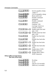## Firmware Commands

| $\text{Control}$                                                                               | Inverse graphics dump                          |
|------------------------------------------------------------------------------------------------|------------------------------------------------|
|                                                                                                | (page 1)                                       |
| $\frac{1}{10}$                                                                                 | Low-res graphics dump                          |
| $\frac{\text{Control}}{\text{I}}$                                                              | Reset serial card                              |
| $Control$ $I$                                                                                  | Disable command                                |
|                                                                                                | interpreter                                    |
| $\text{Control}$ $\text{Tr}$                                                                   | Disable command                                |
|                                                                                                | interpreter                                    |
| $\overline{\text{Control}}$ $\overline{\text{I}}$ $\overline{\text{C}}$                        | Generate $\langle CR \rangle$                  |
|                                                                                                | (carriage return) on                           |
|                                                                                                | column overflow                                |
| $\boxed{\text{Control} \boxed{\text{I}} \boxed{\text{M}}$ $\frac{1}{8}$ $\boxed{\text{E}}$     | Enable mask line feed                          |
|                                                                                                | after $\langle CR \rangle$                     |
| $\lfloor$ Control $\lfloor$ I $\rfloor$ M $\binom{8}{\mathsf{D}}$                              | Disable mask line feed                         |
|                                                                                                | after $\langle CR \rangle$                     |
| $\boxed{\text{Control} \boxed{\text{I}}$                                                       | Enable line feed after                         |
|                                                                                                | $\langle CR \rangle$                           |
| $\text{Control}$ $\text{I}$ $\overline{\text{K}}$                                              | Disable line feed after                        |
| $\overline{\text{Control}}$ $\overline{\text{IL}}$ $\overline{\text{s}}$ $\overline{\text{E}}$ | $\langle CR \rangle$                           |
|                                                                                                | Enable line feed after<br>$\langle CR \rangle$ |
| $\boxed{\text{Control}}$ $\boxed{\text{L}}$ $\text{\$}$ $\boxed{\text{D}}$                     | Disable line feed after                        |
|                                                                                                | $<$ CR $>$                                     |
| Control $\boxed{I[X]}$ $\S$ $E$                                                                | Enable detect XON/                             |
|                                                                                                | <b>XOFF</b> characters                         |
| Control $I[X]$ $\S$ D                                                                          | Disable detect XON /                           |
|                                                                                                | <b>XOFF</b> characters                         |
| afurn                                                                                          |                                                |

#### **Delays (after carriage return, line feed, form feed)**

| $\text{Control}$ $\text{IO}$ $\text{C}$                           | No delay             |
|-------------------------------------------------------------------|----------------------|
| $\lfloor$ Control $\lfloor \cdot \rfloor$ $\lfloor \cdot \rfloor$ | 32 ms                |
| $\text{Control}$ $\boxed{1}$ 2 C                                  | $250 \text{ ms} (1)$ |
| $\boxed{\text{Control}}$ $\boxed{1}$ 3 $\boxed{\text{Cl}}$        | $2000$ ms $($        |

|                                                                           | No delay                       |
|---------------------------------------------------------------------------|--------------------------------|
|                                                                           | $32 \text{ ms}$                |
| $\text{Control}$ $\boxed{1}$ 2 $\boxed{C}$                                | $250 \text{ ms}$ (1/4 seconds) |
| $\overline{\text{Control}}$ $\overline{\text{I}}$ 3 $\overline{\text{C}}$ | $2000 \text{ ms}$ (2 seconds)  |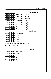#### **Data Format**

| control                   | $\mathbf{I}$ |  |
|---------------------------|--------------|--|
| n                         |              |  |
| r,                        |              |  |
| $^{\prime}$ ontro         |              |  |
| $\text{Contro}^{\dagger}$ |              |  |
|                           |              |  |
| Contro                    |              |  |
| ontro                     |              |  |
| tr                        |              |  |

- 8 data bits  $/ 1$  stop bit
- 7 data bits / I stop bit
- 6 data bits  $/ 1$  stop bit
- $5$  data bits  $/ 1$  stop bit
- $8$  data bits  $/ 2$  stop bits
- 7 data bits  $/ 2$  stop bits
- 6 data bits  $/ 2$  stop bits
- 5 data bits  $/ 2$  stop bits

#### **Baud Rate**

|                                                   |                           | $\boxed{\text{Control} \quad I \quad 0 \quad B}$ Undefined |
|---------------------------------------------------|---------------------------|------------------------------------------------------------|
| Control                                           | $I \vert 6 \vert B \vert$ | 300                                                        |
| $\text{Control}$ $\text{I}8$ $\text{B}$ 1200      |                           |                                                            |
| $\lfloor$ Control $\lfloor$ 1 10 $\lfloor$ B 2400 |                           |                                                            |
| Control I 14 B $9600$                             |                           |                                                            |

For additional baud rates, call Sequential

Systems at 1-800.999-1717.

#### **Parity**

| Control        | n |   |
|----------------|---|---|
| Control        |   | ſ |
| <b>Control</b> |   | F |
| Contro         |   |   |
| Control        |   | ٢ |

None  $(n=0, 2, 4, 6)$  $b$ h $C$  $F$ ven Mark Space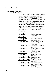#### **Firmware Commands For Modem Mode**

To activate any of the commands in modem mode, you must first type either **PR#1 Return** or **IN#1 Return** . Next, simultaneously hold down the Control key and the A key. Then type the **command sequence. Since spacing is important regarding the commands, the § symbol denotes entering a space via the space bar between some two letter commands,** (the rest have no space between them). The command sequences are listed below.

| Control A                                                                     | Disable command                                                     |
|-------------------------------------------------------------------------------|---------------------------------------------------------------------|
| Control <sup>[A]</sup>                                                        | interpreter<br>Enter terminal mode                                  |
|                                                                               |                                                                     |
| Controll A                                                                    | Quit terminal mode                                                  |
|                                                                               | Reset serial card                                                   |
| $\text{ControlALnIS}$                                                         | Direct Super-Comm                                                   |
|                                                                               | output to peripheral card                                           |
|                                                                               | $(n=slot \#)$                                                       |
| $\mathbb{C}$ ontrol $\mathbb{A} \mathbb{M}$ § $\mathbb{E}$                    | Enable mask line feed                                               |
|                                                                               | after $\langle CR \rangle$                                          |
|                                                                               | Control $\overline{A}$ M $\S$ $\overline{D}$ Disable mask line feed |
|                                                                               | after < $CR$ >                                                      |
| $\text{Control}$ A                                                            | Enable line feed                                                    |
|                                                                               | after < $CR$ >                                                      |
| $\text{Control}$ $\angle$ K                                                   | Disable line feed                                                   |
|                                                                               | after < $CR$ >                                                      |
| $\overline{\text{Control}}$ $\overline{\text{AL}}$ $\S$ $\overline{\text{E}}$ | Enable line feed                                                    |
|                                                                               | after <cr></cr>                                                     |
| $Control A \square \$ $D$                                                     | Disable line feed                                                   |
|                                                                               | after <cr></cr>                                                     |
| $\text{Control } \Delta \boxtimes \text{ } \S \boxtimes$                      | Enable detect XON/                                                  |
|                                                                               | XOFF characters                                                     |
| Control $\overline{A}$ $\overline{X}$ $\S$ $\overline{D}$                     | Disable detect XON/                                                 |
|                                                                               | XOFF characters                                                     |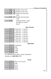| Control  A<br>§ΕΙ                         | Enable screen echo                    |
|-------------------------------------------|---------------------------------------|
| $\S$ D<br>Control AE                      | Disable screen echo                   |
| <u>Control</u> <sup>[A]</sup> L<br>$\S$ E | Enable line feed after                |
|                                           | $<$ CR $>$                            |
| Control AL<br>]§ D                        | Disable line feed after               |
|                                           | $<$ CR $>$                            |
| Control  A  B                             | Transmit break or sign-               |
|                                           | off signal to remote                  |
|                                           | device                                |
|                                           |                                       |
|                                           | Data Format                           |
| Control A 0<br>IЫ                         | 8 data bits / 1 stop bit              |
| Control                                   | 7 data bits / 1 stop bit              |
| <b>Control</b>                            | 6 data bits $/1$ stop bit             |
| Control<br>3<br>ÐI                        | 5 data bits $/1$ stop bit             |
| <u>Control</u><br>I)                      | 8 data bits / 2 slop bits             |
| <b>Control</b>                            | 7 data bits / 2 slop bits             |
| Control A<br>ID)                          | 6 data bits $/2$ stop bits            |
| Control <sup>[</sup> A]                   | $\boxed{D}$ 5 data bits / 2 stop bits |
|                                           | <b>Baud Rate</b>                      |
| Control  A   0  B                         | Undefined                             |

| $\overline{\text{Control}}$ A $\overline{\text{O}}$ B Unde      |  |
|-----------------------------------------------------------------|--|
| $\text{Control}$ A 6 B 300                                      |  |
| $\boxed{\text{Control} \mathbf{A} \mathbf{8} \mathbf{B} }$ 1200 |  |
| $\text{Control}$ $\text{A}$ $\text{IO}$ $\text{B}$ 2400         |  |
| $\text{Control}$ A $\boxed{14}$ B 9600                          |  |

For additional baud rates, contact Sequential Systems at **1-800-999-1717**.

## **Parity**

| $\text{Control}$ $\text{A}$ $\text{O}$ $\text{n}$ None (n=0,2,4,6) |  |
|--------------------------------------------------------------------|--|
| $Control$ $A$ $I$ $P$ $O$ $d$                                      |  |
| $\text{Control}$ $\text{A}$ 3 $\text{P}$ Even                      |  |
| $\text{Control}$ $\boxed{5}$ P Mark                                |  |
| $\overline{\text{Control}}$ A $\boxed{7}$ P Space                  |  |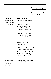# **Troubleshooting 6.**

## **Troubleshooting for Printer Mode**

<span id="page-24-0"></span>

| Symptom                                                        | <b>Possible Solution(s)</b>                                                                                                                                                      |
|----------------------------------------------------------------|----------------------------------------------------------------------------------------------------------------------------------------------------------------------------------|
| Nothing prints<br>(computer seems                              | •Check cable connections                                                                                                                                                         |
| to be working)                                                 | • Make sure the jumper<br>block is pointing to the<br>correct device selection<br>(to "Printer" in this case)                                                                    |
|                                                                | •Check all switch settings;<br>check that switchbank one<br>is not set as switchbank<br>two, etc.                                                                                |
|                                                                | •Verify Super-Comm is<br>seated in correct slot                                                                                                                                  |
|                                                                | • Make sure rainbow colored<br>cable stub is firmly plugged<br>into Super-Comm and is in<br>the correct orientation; refer<br>to Section 3, page 3.1, for<br>proper installation |
| Nothing prints<br>(computer does<br>not seem to be<br>working) | •If Super-Comm is in slot 3,<br>move it to slot 1                                                                                                                                |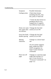| Symptom<br>Garbage prints                           | Possible Solution(s)<br>•Check data format,<br>including data bits, stop<br>bits, parity or baud rate                      |
|-----------------------------------------------------|----------------------------------------------------------------------------------------------------------------------------|
|                                                     | • Verify the data format on<br>peripheral device (e.g.,<br><b>ImageWriter II supports</b><br>four different baud rates)    |
| Prints over same<br>line; paper does<br>not advance | •Change the line feed<br>switch $(2-5)$ to ON                                                                              |
| Extra line feeds;<br>double spacing                 | •Change the line feed<br>switch (2-5) to OFF                                                                               |
| Missing<br>characters                               | •Change to a slower baud<br>rate                                                                                           |
|                                                     | •If your printer supports<br>them, enable the XON /<br>XOFF recognition via<br>Super-Comm firmware<br>commands             |
| Print runs off<br>page                              | •Change to a narrower page<br>width with switches 2-3<br>and 2-4 (see Section 5,<br>"Firmware Commands" on<br>page $3.1$ ) |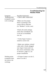## **Troubleshooting for Modem Mode**

| <b>Symptom</b>  | Possible Solution(s)           |
|-----------------|--------------------------------|
| Nothing prints  | • Check cable connections      |
| (computer seems |                                |
| to be working)  | • Make sure the jumper         |
|                 | block is pointing to the       |
|                 | correct device selection       |
|                 | (to "Modem" in this case)      |
|                 | •Check all switch settings;    |
|                 | check that switchbank one      |
|                 | is not set as switchbank       |
|                 | two. etc.                      |
|                 | • Verify Super-Comm is         |
|                 | seated in correct slot         |
|                 | • Make sure rainbow colored    |
|                 | cable stub is firmly plugged   |
|                 | into Super-Comm and is in      |
|                 | the correct orientation; refer |
|                 | to Section 3, page $3.1$ , for |
|                 | proper installation            |
| Nothing prints  | • If Super-Comm is in slot 3,  |
| (computer does  | move it to slot 2              |
| not seem to be  |                                |
| working)        |                                |